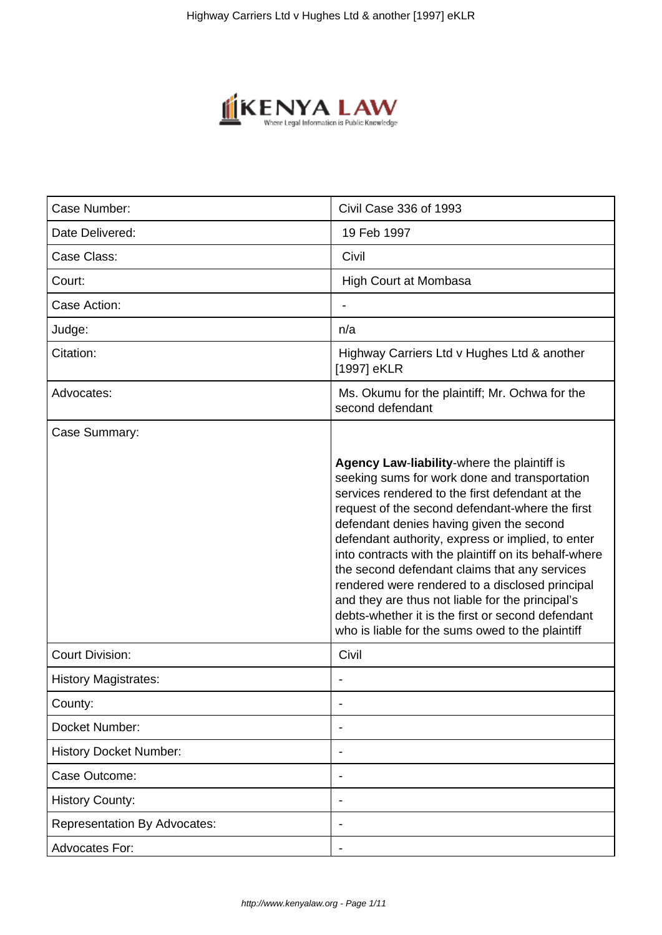

| Case Number:                        | Civil Case 336 of 1993                                                                                                                                                                                                                                                                                                                                                                                                                                                                                                                                                                                                        |  |  |
|-------------------------------------|-------------------------------------------------------------------------------------------------------------------------------------------------------------------------------------------------------------------------------------------------------------------------------------------------------------------------------------------------------------------------------------------------------------------------------------------------------------------------------------------------------------------------------------------------------------------------------------------------------------------------------|--|--|
| Date Delivered:                     | 19 Feb 1997                                                                                                                                                                                                                                                                                                                                                                                                                                                                                                                                                                                                                   |  |  |
| Case Class:                         | Civil                                                                                                                                                                                                                                                                                                                                                                                                                                                                                                                                                                                                                         |  |  |
| Court:                              | <b>High Court at Mombasa</b>                                                                                                                                                                                                                                                                                                                                                                                                                                                                                                                                                                                                  |  |  |
| Case Action:                        |                                                                                                                                                                                                                                                                                                                                                                                                                                                                                                                                                                                                                               |  |  |
| Judge:                              | n/a                                                                                                                                                                                                                                                                                                                                                                                                                                                                                                                                                                                                                           |  |  |
| Citation:                           | Highway Carriers Ltd v Hughes Ltd & another<br>[1997] eKLR                                                                                                                                                                                                                                                                                                                                                                                                                                                                                                                                                                    |  |  |
| Advocates:                          | Ms. Okumu for the plaintiff; Mr. Ochwa for the<br>second defendant                                                                                                                                                                                                                                                                                                                                                                                                                                                                                                                                                            |  |  |
| Case Summary:                       |                                                                                                                                                                                                                                                                                                                                                                                                                                                                                                                                                                                                                               |  |  |
|                                     | Agency Law-liability-where the plaintiff is<br>seeking sums for work done and transportation<br>services rendered to the first defendant at the<br>request of the second defendant-where the first<br>defendant denies having given the second<br>defendant authority, express or implied, to enter<br>into contracts with the plaintiff on its behalf-where<br>the second defendant claims that any services<br>rendered were rendered to a disclosed principal<br>and they are thus not liable for the principal's<br>debts-whether it is the first or second defendant<br>who is liable for the sums owed to the plaintiff |  |  |
| <b>Court Division:</b>              | Civil                                                                                                                                                                                                                                                                                                                                                                                                                                                                                                                                                                                                                         |  |  |
| <b>History Magistrates:</b>         |                                                                                                                                                                                                                                                                                                                                                                                                                                                                                                                                                                                                                               |  |  |
| County:                             |                                                                                                                                                                                                                                                                                                                                                                                                                                                                                                                                                                                                                               |  |  |
| Docket Number:                      |                                                                                                                                                                                                                                                                                                                                                                                                                                                                                                                                                                                                                               |  |  |
| <b>History Docket Number:</b>       |                                                                                                                                                                                                                                                                                                                                                                                                                                                                                                                                                                                                                               |  |  |
| Case Outcome:                       |                                                                                                                                                                                                                                                                                                                                                                                                                                                                                                                                                                                                                               |  |  |
| <b>History County:</b>              |                                                                                                                                                                                                                                                                                                                                                                                                                                                                                                                                                                                                                               |  |  |
| <b>Representation By Advocates:</b> |                                                                                                                                                                                                                                                                                                                                                                                                                                                                                                                                                                                                                               |  |  |
| <b>Advocates For:</b>               |                                                                                                                                                                                                                                                                                                                                                                                                                                                                                                                                                                                                                               |  |  |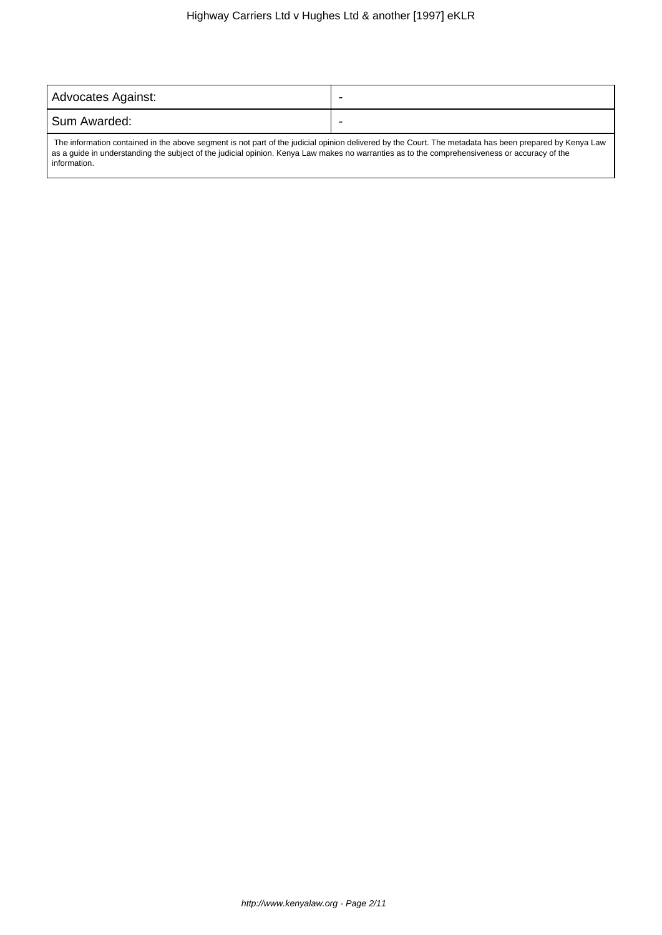| Advocates Against:                 | -      |
|------------------------------------|--------|
| Sum Awarded:                       |        |
| ____<br>.<br>.<br>$\sim$<br>$\sim$ | .<br>. |

 The information contained in the above segment is not part of the judicial opinion delivered by the Court. The metadata has been prepared by Kenya Law as a guide in understanding the subject of the judicial opinion. Kenya Law makes no warranties as to the comprehensiveness or accuracy of the information.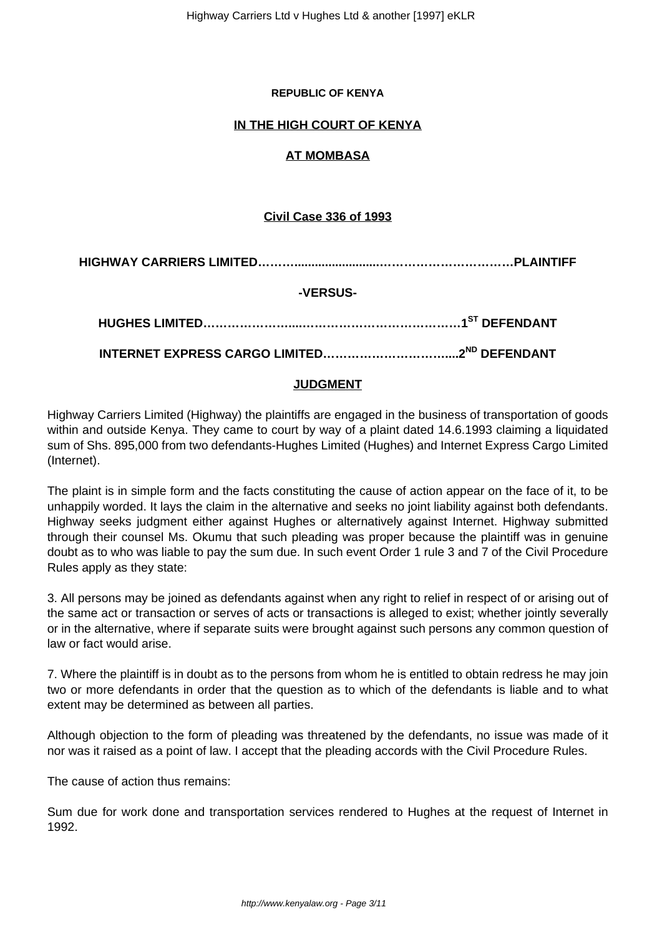### **REPUBLIC OF KENYA**

# **IN THE HIGH COURT OF KENYA**

# **AT MOMBASA**

# **Civil Case 336 of 1993**

**HIGHWAY CARRIERS LIMITED……….........................……………………………PLAINTIFF**

# **-VERSUS-**

**INTERNET EXPRESS CARGO LIMITED…………………………....2ND DEFENDANT**

### **JUDGMENT**

Highway Carriers Limited (Highway) the plaintiffs are engaged in the business of transportation of goods within and outside Kenya. They came to court by way of a plaint dated 14.6.1993 claiming a liquidated sum of Shs. 895,000 from two defendants-Hughes Limited (Hughes) and Internet Express Cargo Limited (Internet).

The plaint is in simple form and the facts constituting the cause of action appear on the face of it, to be unhappily worded. It lays the claim in the alternative and seeks no joint liability against both defendants. Highway seeks judgment either against Hughes or alternatively against Internet. Highway submitted through their counsel Ms. Okumu that such pleading was proper because the plaintiff was in genuine doubt as to who was liable to pay the sum due. In such event Order 1 rule 3 and 7 of the Civil Procedure Rules apply as they state:

3. All persons may be joined as defendants against when any right to relief in respect of or arising out of the same act or transaction or serves of acts or transactions is alleged to exist; whether jointly severally or in the alternative, where if separate suits were brought against such persons any common question of law or fact would arise.

7. Where the plaintiff is in doubt as to the persons from whom he is entitled to obtain redress he may join two or more defendants in order that the question as to which of the defendants is liable and to what extent may be determined as between all parties.

Although objection to the form of pleading was threatened by the defendants, no issue was made of it nor was it raised as a point of law. I accept that the pleading accords with the Civil Procedure Rules.

The cause of action thus remains:

Sum due for work done and transportation services rendered to Hughes at the request of Internet in 1992.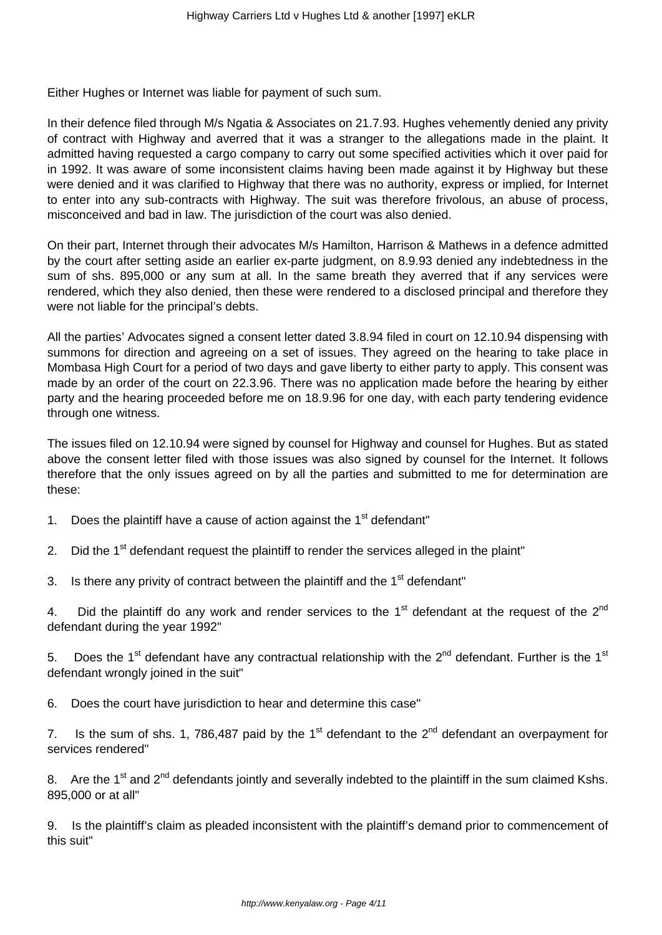Either Hughes or Internet was liable for payment of such sum.

In their defence filed through M/s Ngatia & Associates on 21.7.93. Hughes vehemently denied any privity of contract with Highway and averred that it was a stranger to the allegations made in the plaint. It admitted having requested a cargo company to carry out some specified activities which it over paid for in 1992. It was aware of some inconsistent claims having been made against it by Highway but these were denied and it was clarified to Highway that there was no authority, express or implied, for Internet to enter into any sub-contracts with Highway. The suit was therefore frivolous, an abuse of process, misconceived and bad in law. The jurisdiction of the court was also denied.

On their part, Internet through their advocates M/s Hamilton, Harrison & Mathews in a defence admitted by the court after setting aside an earlier ex-parte judgment, on 8.9.93 denied any indebtedness in the sum of shs. 895,000 or any sum at all. In the same breath they averred that if any services were rendered, which they also denied, then these were rendered to a disclosed principal and therefore they were not liable for the principal's debts.

All the parties' Advocates signed a consent letter dated 3.8.94 filed in court on 12.10.94 dispensing with summons for direction and agreeing on a set of issues. They agreed on the hearing to take place in Mombasa High Court for a period of two days and gave liberty to either party to apply. This consent was made by an order of the court on 22.3.96. There was no application made before the hearing by either party and the hearing proceeded before me on 18.9.96 for one day, with each party tendering evidence through one witness.

The issues filed on 12.10.94 were signed by counsel for Highway and counsel for Hughes. But as stated above the consent letter filed with those issues was also signed by counsel for the Internet. It follows therefore that the only issues agreed on by all the parties and submitted to me for determination are these:

- 1. Does the plaintiff have a cause of action against the  $1<sup>st</sup>$  defendant"
- 2. Did the 1<sup>st</sup> defendant request the plaintiff to render the services alleged in the plaint"
- 3. Is there any privity of contract between the plaintiff and the  $1<sup>st</sup>$  defendant"

4. Did the plaintiff do any work and render services to the  $1<sup>st</sup>$  defendant at the request of the  $2<sup>nd</sup>$ defendant during the year 1992"

5. Does the 1<sup>st</sup> defendant have any contractual relationship with the 2<sup>nd</sup> defendant. Further is the 1<sup>st</sup> defendant wrongly joined in the suit"

6. Does the court have jurisdiction to hear and determine this case"

7. Is the sum of shs. 1, 786,487 paid by the 1<sup>st</sup> defendant to the  $2^{nd}$  defendant an overpayment for services rendered"

8. Are the 1<sup>st</sup> and 2<sup>nd</sup> defendants jointly and severally indebted to the plaintiff in the sum claimed Kshs. 895,000 or at all"

9. Is the plaintiff's claim as pleaded inconsistent with the plaintiff's demand prior to commencement of this suit"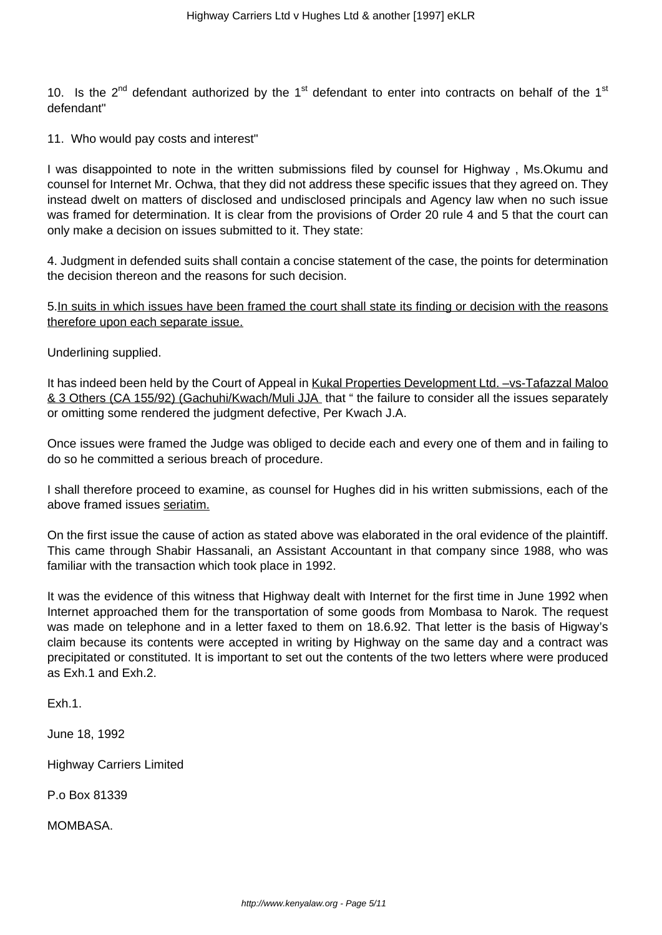10. Is the 2<sup>nd</sup> defendant authorized by the 1<sup>st</sup> defendant to enter into contracts on behalf of the 1<sup>st</sup> defendant"

11. Who would pay costs and interest"

I was disappointed to note in the written submissions filed by counsel for Highway , Ms.Okumu and counsel for Internet Mr. Ochwa, that they did not address these specific issues that they agreed on. They instead dwelt on matters of disclosed and undisclosed principals and Agency law when no such issue was framed for determination. It is clear from the provisions of Order 20 rule 4 and 5 that the court can only make a decision on issues submitted to it. They state:

4. Judgment in defended suits shall contain a concise statement of the case, the points for determination the decision thereon and the reasons for such decision.

5.In suits in which issues have been framed the court shall state its finding or decision with the reasons therefore upon each separate issue.

Underlining supplied.

It has indeed been held by the Court of Appeal in Kukal Properties Development Ltd. –vs-Tafazzal Maloo & 3 Others (CA 155/92) (Gachuhi/Kwach/Muli JJA that " the failure to consider all the issues separately or omitting some rendered the judgment defective, Per Kwach J.A.

Once issues were framed the Judge was obliged to decide each and every one of them and in failing to do so he committed a serious breach of procedure.

I shall therefore proceed to examine, as counsel for Hughes did in his written submissions, each of the above framed issues seriatim.

On the first issue the cause of action as stated above was elaborated in the oral evidence of the plaintiff. This came through Shabir Hassanali, an Assistant Accountant in that company since 1988, who was familiar with the transaction which took place in 1992.

It was the evidence of this witness that Highway dealt with Internet for the first time in June 1992 when Internet approached them for the transportation of some goods from Mombasa to Narok. The request was made on telephone and in a letter faxed to them on 18.6.92. That letter is the basis of Higway's claim because its contents were accepted in writing by Highway on the same day and a contract was precipitated or constituted. It is important to set out the contents of the two letters where were produced as Exh.1 and Exh.2.

Exh.1.

June 18, 1992

Highway Carriers Limited

P.o Box 81339

MOMBASA.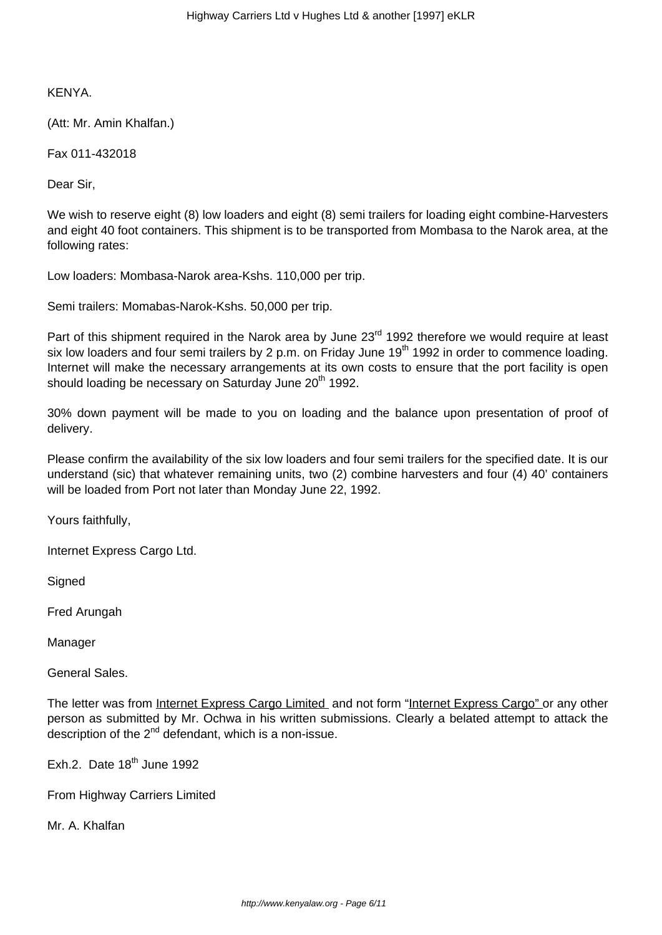KENYA.

(Att: Mr. Amin Khalfan.)

Fax 011-432018

Dear Sir,

We wish to reserve eight (8) low loaders and eight (8) semi trailers for loading eight combine-Harvesters and eight 40 foot containers. This shipment is to be transported from Mombasa to the Narok area, at the following rates:

Low loaders: Mombasa-Narok area-Kshs. 110,000 per trip.

Semi trailers: Momabas-Narok-Kshs. 50,000 per trip.

Part of this shipment required in the Narok area by June 23<sup>rd</sup> 1992 therefore we would require at least six low loaders and four semi trailers by 2 p.m. on Friday June 19<sup>th</sup> 1992 in order to commence loading. Internet will make the necessary arrangements at its own costs to ensure that the port facility is open should loading be necessary on Saturday June 20<sup>th</sup> 1992.

30% down payment will be made to you on loading and the balance upon presentation of proof of delivery.

Please confirm the availability of the six low loaders and four semi trailers for the specified date. It is our understand (sic) that whatever remaining units, two (2) combine harvesters and four (4) 40' containers will be loaded from Port not later than Monday June 22, 1992.

Yours faithfully,

Internet Express Cargo Ltd.

**Signed** 

Fred Arungah

Manager

General Sales.

The letter was from Internet Express Cargo Limited and not form "Internet Express Cargo" or any other person as submitted by Mr. Ochwa in his written submissions. Clearly a belated attempt to attack the description of the  $2^{nd}$  defendant, which is a non-issue.

Exh.2. Date 18<sup>th</sup> June 1992

From Highway Carriers Limited

Mr. A. Khalfan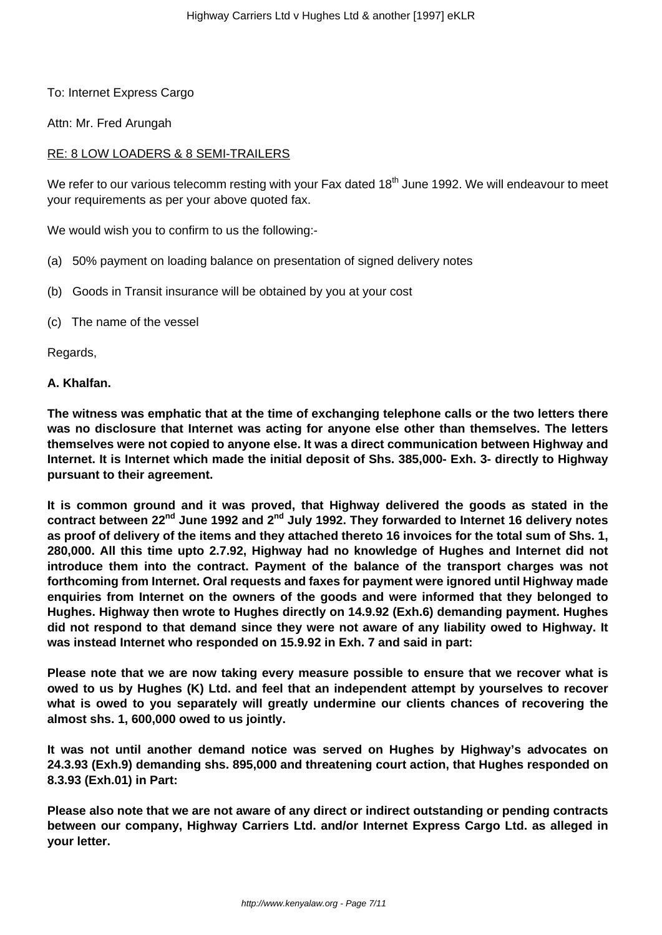# To: Internet Express Cargo

Attn: Mr. Fred Arungah

# RE: 8 LOW LOADERS & 8 SEMI-TRAILERS

We refer to our various telecomm resting with your Fax dated 18<sup>th</sup> June 1992. We will endeavour to meet your requirements as per your above quoted fax.

We would wish you to confirm to us the following:-

- (a) 50% payment on loading balance on presentation of signed delivery notes
- (b) Goods in Transit insurance will be obtained by you at your cost
- (c) The name of the vessel

Regards,

### **A. Khalfan.**

**The witness was emphatic that at the time of exchanging telephone calls or the two letters there was no disclosure that Internet was acting for anyone else other than themselves. The letters themselves were not copied to anyone else. It was a direct communication between Highway and Internet. It is Internet which made the initial deposit of Shs. 385,000- Exh. 3- directly to Highway pursuant to their agreement.**

**It is common ground and it was proved, that Highway delivered the goods as stated in the contract between 22nd June 1992 and 2nd July 1992. They forwarded to Internet 16 delivery notes as proof of delivery of the items and they attached thereto 16 invoices for the total sum of Shs. 1, 280,000. All this time upto 2.7.92, Highway had no knowledge of Hughes and Internet did not introduce them into the contract. Payment of the balance of the transport charges was not forthcoming from Internet. Oral requests and faxes for payment were ignored until Highway made enquiries from Internet on the owners of the goods and were informed that they belonged to Hughes. Highway then wrote to Hughes directly on 14.9.92 (Exh.6) demanding payment. Hughes did not respond to that demand since they were not aware of any liability owed to Highway. It was instead Internet who responded on 15.9.92 in Exh. 7 and said in part:**

**Please note that we are now taking every measure possible to ensure that we recover what is owed to us by Hughes (K) Ltd. and feel that an independent attempt by yourselves to recover what is owed to you separately will greatly undermine our clients chances of recovering the almost shs. 1, 600,000 owed to us jointly.**

**It was not until another demand notice was served on Hughes by Highway's advocates on 24.3.93 (Exh.9) demanding shs. 895,000 and threatening court action, that Hughes responded on 8.3.93 (Exh.01) in Part:**

**Please also note that we are not aware of any direct or indirect outstanding or pending contracts between our company, Highway Carriers Ltd. and/or Internet Express Cargo Ltd. as alleged in your letter.**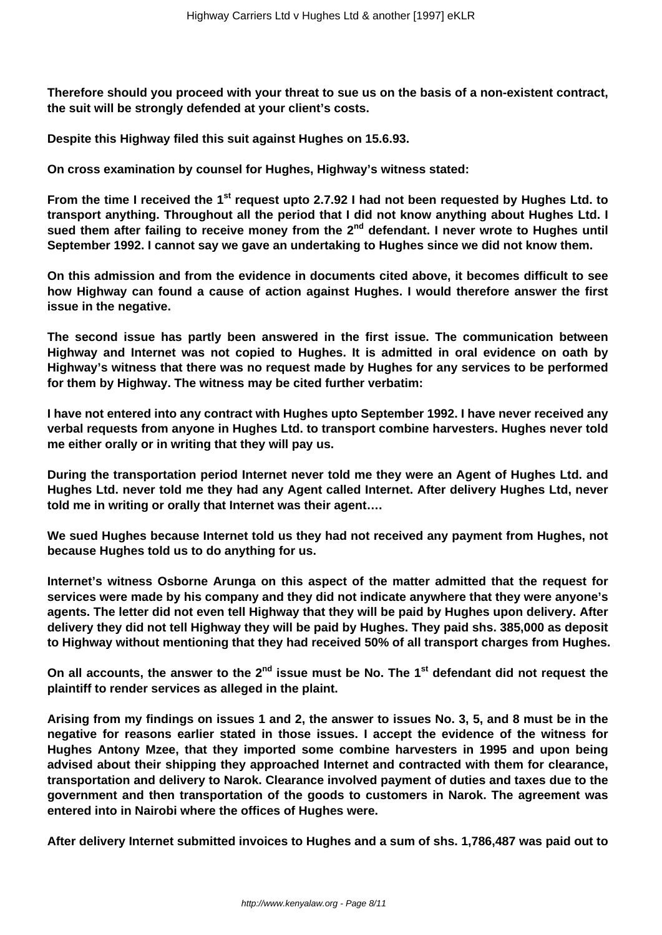**Therefore should you proceed with your threat to sue us on the basis of a non-existent contract, the suit will be strongly defended at your client's costs.**

**Despite this Highway filed this suit against Hughes on 15.6.93.**

**On cross examination by counsel for Hughes, Highway's witness stated:**

**From the time I received the 1st request upto 2.7.92 I had not been requested by Hughes Ltd. to transport anything. Throughout all the period that I did not know anything about Hughes Ltd. I sued them after failing to receive money from the 2nd defendant. I never wrote to Hughes until September 1992. I cannot say we gave an undertaking to Hughes since we did not know them.**

**On this admission and from the evidence in documents cited above, it becomes difficult to see how Highway can found a cause of action against Hughes. I would therefore answer the first issue in the negative.**

**The second issue has partly been answered in the first issue. The communication between Highway and Internet was not copied to Hughes. It is admitted in oral evidence on oath by Highway's witness that there was no request made by Hughes for any services to be performed for them by Highway. The witness may be cited further verbatim:**

**I have not entered into any contract with Hughes upto September 1992. I have never received any verbal requests from anyone in Hughes Ltd. to transport combine harvesters. Hughes never told me either orally or in writing that they will pay us.** 

**During the transportation period Internet never told me they were an Agent of Hughes Ltd. and Hughes Ltd. never told me they had any Agent called Internet. After delivery Hughes Ltd, never told me in writing or orally that Internet was their agent….**

**We sued Hughes because Internet told us they had not received any payment from Hughes, not because Hughes told us to do anything for us.**

**Internet's witness Osborne Arunga on this aspect of the matter admitted that the request for services were made by his company and they did not indicate anywhere that they were anyone's agents. The letter did not even tell Highway that they will be paid by Hughes upon delivery. After delivery they did not tell Highway they will be paid by Hughes. They paid shs. 385,000 as deposit to Highway without mentioning that they had received 50% of all transport charges from Hughes.**

**On all accounts, the answer to the 2nd issue must be No. The 1st defendant did not request the plaintiff to render services as alleged in the plaint.**

**Arising from my findings on issues 1 and 2, the answer to issues No. 3, 5, and 8 must be in the negative for reasons earlier stated in those issues. I accept the evidence of the witness for Hughes Antony Mzee, that they imported some combine harvesters in 1995 and upon being advised about their shipping they approached Internet and contracted with them for clearance, transportation and delivery to Narok. Clearance involved payment of duties and taxes due to the government and then transportation of the goods to customers in Narok. The agreement was entered into in Nairobi where the offices of Hughes were.**

**After delivery Internet submitted invoices to Hughes and a sum of shs. 1,786,487 was paid out to**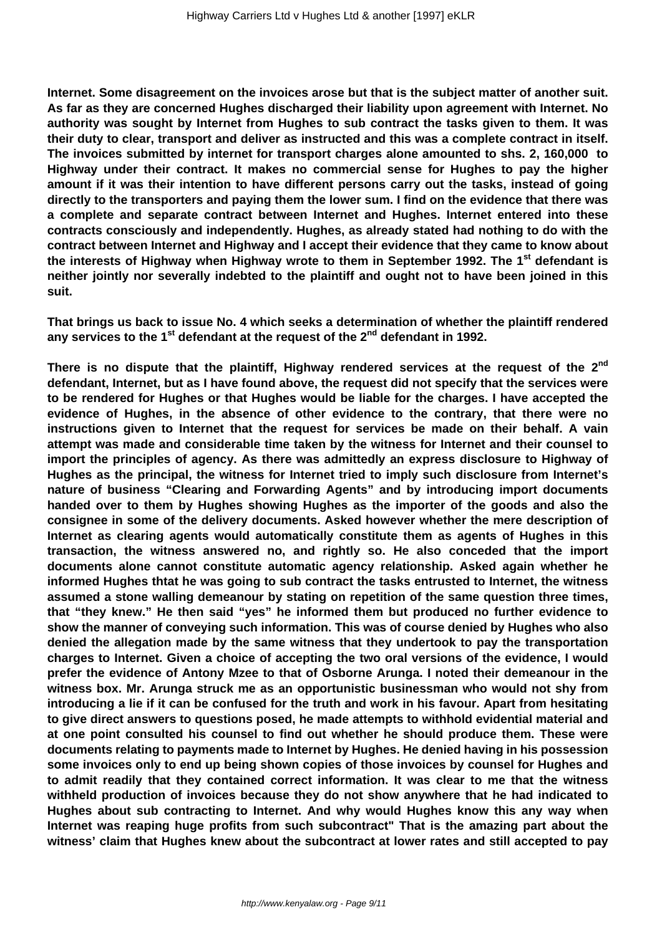**Internet. Some disagreement on the invoices arose but that is the subject matter of another suit. As far as they are concerned Hughes discharged their liability upon agreement with Internet. No authority was sought by Internet from Hughes to sub contract the tasks given to them. It was their duty to clear, transport and deliver as instructed and this was a complete contract in itself. The invoices submitted by internet for transport charges alone amounted to shs. 2, 160,000 to Highway under their contract. It makes no commercial sense for Hughes to pay the higher amount if it was their intention to have different persons carry out the tasks, instead of going directly to the transporters and paying them the lower sum. I find on the evidence that there was a complete and separate contract between Internet and Hughes. Internet entered into these contracts consciously and independently. Hughes, as already stated had nothing to do with the contract between Internet and Highway and I accept their evidence that they came to know about the interests of Highway when Highway wrote to them in September 1992. The 1st defendant is neither jointly nor severally indebted to the plaintiff and ought not to have been joined in this suit.**

**That brings us back to issue No. 4 which seeks a determination of whether the plaintiff rendered any services to the 1st defendant at the request of the 2nd defendant in 1992.**

**There is no dispute that the plaintiff, Highway rendered services at the request of the 2nd defendant, Internet, but as I have found above, the request did not specify that the services were to be rendered for Hughes or that Hughes would be liable for the charges. I have accepted the evidence of Hughes, in the absence of other evidence to the contrary, that there were no instructions given to Internet that the request for services be made on their behalf. A vain attempt was made and considerable time taken by the witness for Internet and their counsel to import the principles of agency. As there was admittedly an express disclosure to Highway of Hughes as the principal, the witness for Internet tried to imply such disclosure from Internet's nature of business "Clearing and Forwarding Agents" and by introducing import documents handed over to them by Hughes showing Hughes as the importer of the goods and also the consignee in some of the delivery documents. Asked however whether the mere description of Internet as clearing agents would automatically constitute them as agents of Hughes in this transaction, the witness answered no, and rightly so. He also conceded that the import documents alone cannot constitute automatic agency relationship. Asked again whether he informed Hughes thtat he was going to sub contract the tasks entrusted to Internet, the witness assumed a stone walling demeanour by stating on repetition of the same question three times, that "they knew." He then said "yes" he informed them but produced no further evidence to show the manner of conveying such information. This was of course denied by Hughes who also denied the allegation made by the same witness that they undertook to pay the transportation charges to Internet. Given a choice of accepting the two oral versions of the evidence, I would prefer the evidence of Antony Mzee to that of Osborne Arunga. I noted their demeanour in the witness box. Mr. Arunga struck me as an opportunistic businessman who would not shy from introducing a lie if it can be confused for the truth and work in his favour. Apart from hesitating to give direct answers to questions posed, he made attempts to withhold evidential material and at one point consulted his counsel to find out whether he should produce them. These were documents relating to payments made to Internet by Hughes. He denied having in his possession some invoices only to end up being shown copies of those invoices by counsel for Hughes and to admit readily that they contained correct information. It was clear to me that the witness withheld production of invoices because they do not show anywhere that he had indicated to Hughes about sub contracting to Internet. And why would Hughes know this any way when Internet was reaping huge profits from such subcontract" That is the amazing part about the witness' claim that Hughes knew about the subcontract at lower rates and still accepted to pay**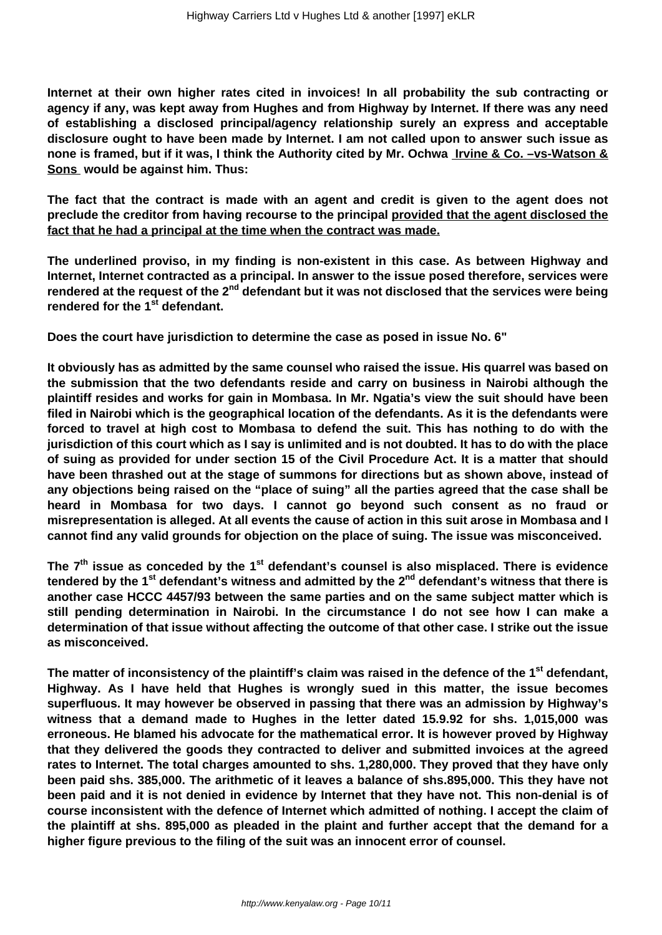**Internet at their own higher rates cited in invoices! In all probability the sub contracting or agency if any, was kept away from Hughes and from Highway by Internet. If there was any need of establishing a disclosed principal/agency relationship surely an express and acceptable disclosure ought to have been made by Internet. I am not called upon to answer such issue as none is framed, but if it was, I think the Authority cited by Mr. Ochwa Irvine & Co. –vs-Watson & Sons would be against him. Thus:** 

**The fact that the contract is made with an agent and credit is given to the agent does not preclude the creditor from having recourse to the principal provided that the agent disclosed the fact that he had a principal at the time when the contract was made.**

**The underlined proviso, in my finding is non-existent in this case. As between Highway and Internet, Internet contracted as a principal. In answer to the issue posed therefore, services were rendered at the request of the 2nd defendant but it was not disclosed that the services were being rendered for the 1st defendant.**

**Does the court have jurisdiction to determine the case as posed in issue No. 6"** 

**It obviously has as admitted by the same counsel who raised the issue. His quarrel was based on the submission that the two defendants reside and carry on business in Nairobi although the plaintiff resides and works for gain in Mombasa. In Mr. Ngatia's view the suit should have been filed in Nairobi which is the geographical location of the defendants. As it is the defendants were forced to travel at high cost to Mombasa to defend the suit. This has nothing to do with the jurisdiction of this court which as I say is unlimited and is not doubted. It has to do with the place of suing as provided for under section 15 of the Civil Procedure Act. It is a matter that should have been thrashed out at the stage of summons for directions but as shown above, instead of any objections being raised on the "place of suing" all the parties agreed that the case shall be heard in Mombasa for two days. I cannot go beyond such consent as no fraud or misrepresentation is alleged. At all events the cause of action in this suit arose in Mombasa and I cannot find any valid grounds for objection on the place of suing. The issue was misconceived.**

**The 7th issue as conceded by the 1st defendant's counsel is also misplaced. There is evidence tendered by the 1st defendant's witness and admitted by the 2nd defendant's witness that there is another case HCCC 4457/93 between the same parties and on the same subject matter which is still pending determination in Nairobi. In the circumstance I do not see how I can make a determination of that issue without affecting the outcome of that other case. I strike out the issue as misconceived.** 

**The matter of inconsistency of the plaintiff's claim was raised in the defence of the 1st defendant, Highway. As I have held that Hughes is wrongly sued in this matter, the issue becomes superfluous. It may however be observed in passing that there was an admission by Highway's witness that a demand made to Hughes in the letter dated 15.9.92 for shs. 1,015,000 was erroneous. He blamed his advocate for the mathematical error. It is however proved by Highway that they delivered the goods they contracted to deliver and submitted invoices at the agreed rates to Internet. The total charges amounted to shs. 1,280,000. They proved that they have only been paid shs. 385,000. The arithmetic of it leaves a balance of shs.895,000. This they have not been paid and it is not denied in evidence by Internet that they have not. This non-denial is of course inconsistent with the defence of Internet which admitted of nothing. I accept the claim of the plaintiff at shs. 895,000 as pleaded in the plaint and further accept that the demand for a higher figure previous to the filing of the suit was an innocent error of counsel.**